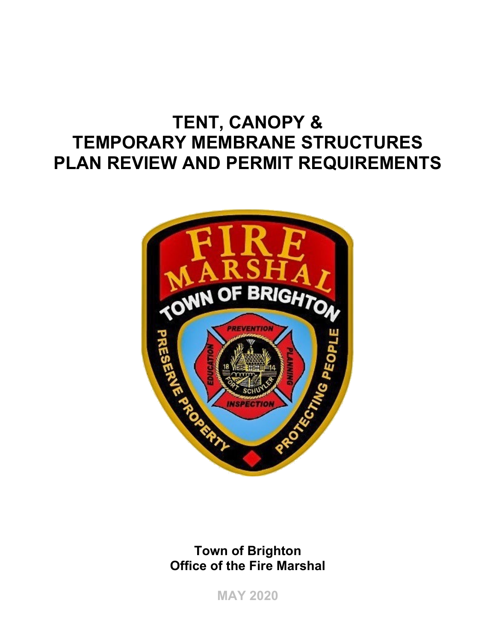# **TENT, CANOPY & TEMPORARY MEMBRANE STRUCTURES PLAN REVIEW AND PERMIT REQUIREMENTS**



**Town of Brighton Office of the Fire Marshal** 

**MAY 2020**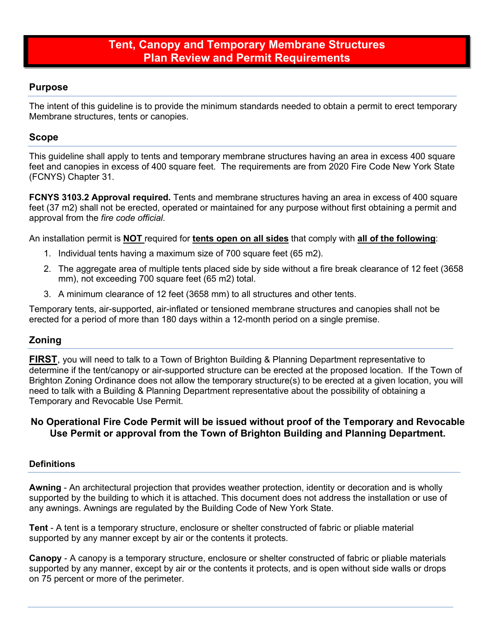# **Purpose**

The intent of this guideline is to provide the minimum standards needed to obtain a permit to erect temporary Membrane structures, tents or canopies.

## **Scope**

This guideline shall apply to tents and temporary membrane structures having an area in excess 400 square feet and canopies in excess of 400 square feet. The requirements are from 2020 Fire Code New York State (FCNYS) Chapter 31.

**FCNYS 3103.2 Approval required.** Tents and membrane structures having an area in excess of 400 square feet (37 m2) shall not be erected, operated or maintained for any purpose without first obtaining a permit and approval from the *fire code official*.

An installation permit is **NOT** required for **tents open on all sides** that comply with **all of the following**:

- 1. Individual tents having a maximum size of 700 square feet (65 m2).
- 2. The aggregate area of multiple tents placed side by side without a fire break clearance of 12 feet (3658 mm), not exceeding 700 square feet (65 m2) total.
- 3. A minimum clearance of 12 feet (3658 mm) to all structures and other tents.

Temporary tents, air-supported, air-inflated or tensioned membrane structures and canopies shall not be erected for a period of more than 180 days within a 12-month period on a single premise.

# **Zoning**

**FIRST**, you will need to talk to a Town of Brighton Building & Planning Department representative to determine if the tent/canopy or air-supported structure can be erected at the proposed location. If the Town of Brighton Zoning Ordinance does not allow the temporary structure(s) to be erected at a given location, you will need to talk with a Building & Planning Department representative about the possibility of obtaining a Temporary and Revocable Use Permit.

## **No Operational Fire Code Permit will be issued without proof of the Temporary and Revocable Use Permit or approval from the Town of Brighton Building and Planning Department.**

#### **Definitions**

**Awning** - An architectural projection that provides weather protection, identity or decoration and is wholly supported by the building to which it is attached. This document does not address the installation or use of any awnings. Awnings are regulated by the Building Code of New York State.

**Tent** - A tent is a temporary structure, enclosure or shelter constructed of fabric or pliable material supported by any manner except by air or the contents it protects.

**Canopy** - A canopy is a temporary structure, enclosure or shelter constructed of fabric or pliable materials supported by any manner, except by air or the contents it protects, and is open without side walls or drops on 75 percent or more of the perimeter.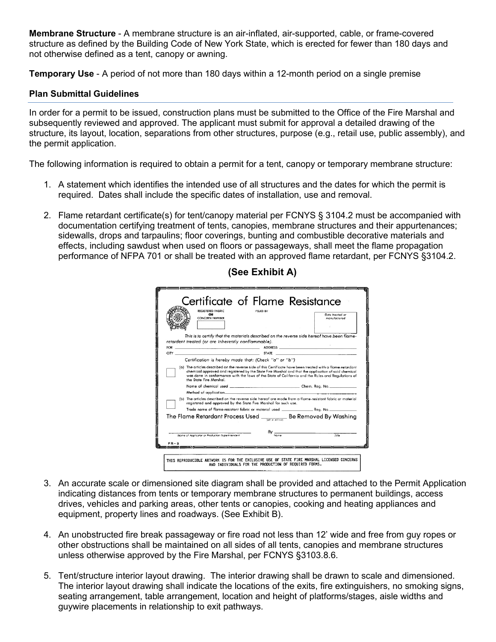**Membrane Structure** - A membrane structure is an air-inflated, air-supported, cable, or frame-covered structure as defined by the Building Code of New York State, which is erected for fewer than 180 days and not otherwise defined as a tent, canopy or awning.

**Temporary Use** - A period of not more than 180 days within a 12-month period on a single premise

#### **Plan Submittal Guidelines**

In order for a permit to be issued, construction plans must be submitted to the Office of the Fire Marshal and subsequently reviewed and approved. The applicant must submit for approval a detailed drawing of the structure, its layout, location, separations from other structures, purpose (e.g., retail use, public assembly), and the permit application.

The following information is required to obtain a permit for a tent, canopy or temporary membrane structure:

- 1. A statement which identifies the intended use of all structures and the dates for which the permit is required. Dates shall include the specific dates of installation, use and removal.
- 2. Flame retardant certificate(s) for tent/canopy material per FCNYS § 3104.2 must be accompanied with documentation certifying treatment of tents, canopies, membrane structures and their appurtenances; sidewalls, drops and tarpaulins; floor coverings, bunting and combustible decorative materials and effects, including sawdust when used on floors or passageways, shall meet the flame propagation performance of NFPA 701 or shall be treated with an approved flame retardant, per FCNYS §3104.2.

| <b>OR</b><br><b>CONCERN NUMBER</b>                                                                                                                                                                                            | Date treated or<br>manufactured |
|-------------------------------------------------------------------------------------------------------------------------------------------------------------------------------------------------------------------------------|---------------------------------|
|                                                                                                                                                                                                                               |                                 |
|                                                                                                                                                                                                                               |                                 |
| This is to certify that the materials described on the reverse side hereof have been flame-                                                                                                                                   |                                 |
| retardent treated (or are inherently nonflammable).                                                                                                                                                                           |                                 |
| CITY STATE STATE STATE AND RESIDENCE OF A STATE STATE AND RESIDENCE OF A STATE OF A STATE OF A STATE OF A STATE OF A STATE OF A STATE OF A STATE OF A STATE OF A STATE OF A STATE OF A STATE OF A STATE OF A STATE OF A STATE |                                 |
| Certification is hereby made that: (Check "a" or "b")                                                                                                                                                                         |                                 |
|                                                                                                                                                                                                                               |                                 |
|                                                                                                                                                                                                                               |                                 |
|                                                                                                                                                                                                                               |                                 |
| (b) The articles described on the reverse side hereof are mode from a flame-resistant fabric or material<br>registered and approved by the State Fire Marshal for such use.                                                   |                                 |
|                                                                                                                                                                                                                               |                                 |
| The Flame Retardant Process Used ____________ Be Removed By Washing                                                                                                                                                           |                                 |
|                                                                                                                                                                                                                               |                                 |
| $By \frac{1}{\text{Number of the image}}$<br>Name of Acalicator or Production Superintendent                                                                                                                                  | T/dx                            |

# **(See Exhibit A)**

- 3. An accurate scale or dimensioned site diagram shall be provided and attached to the Permit Application indicating distances from tents or temporary membrane structures to permanent buildings, access drives, vehicles and parking areas, other tents or canopies, cooking and heating appliances and equipment, property lines and roadways. (See Exhibit B).
- 4. An unobstructed fire break passageway or fire road not less than 12' wide and free from guy ropes or other obstructions shall be maintained on all sides of all tents, canopies and membrane structures unless otherwise approved by the Fire Marshal, per FCNYS §3103.8.6.
- 5. Tent/structure interior layout drawing. The interior drawing shall be drawn to scale and dimensioned. The interior layout drawing shall indicate the locations of the exits, fire extinguishers, no smoking signs, seating arrangement, table arrangement, location and height of platforms/stages, aisle widths and guywire placements in relationship to exit pathways.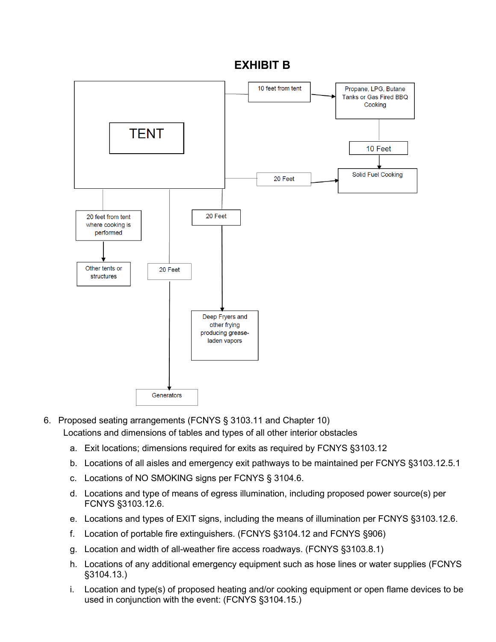# **EXHIBIT B**



6. Proposed seating arrangements (FCNYS § 3103.11 and Chapter 10)

Locations and dimensions of tables and types of all other interior obstacles

- a. Exit locations; dimensions required for exits as required by FCNYS §3103.12
- b. Locations of all aisles and emergency exit pathways to be maintained per FCNYS §3103.12.5.1
- c. Locations of NO SMOKING signs per FCNYS § 3104.6.
- d. Locations and type of means of egress illumination, including proposed power source(s) per FCNYS §3103.12.6.
- e. Locations and types of EXIT signs, including the means of illumination per FCNYS §3103.12.6.
- f. Location of portable fire extinguishers. (FCNYS §3104.12 and FCNYS §906)
- g. Location and width of all-weather fire access roadways. (FCNYS §3103.8.1)
- h. Locations of any additional emergency equipment such as hose lines or water supplies (FCNYS §3104.13.)
- i. Location and type(s) of proposed heating and/or cooking equipment or open flame devices to be used in conjunction with the event: (FCNYS §3104.15.)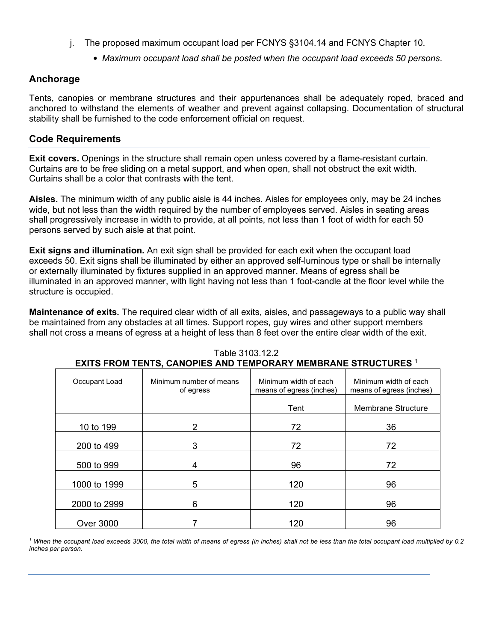- j. The proposed maximum occupant load per FCNYS §3104.14 and FCNYS Chapter 10.
	- *Maximum occupant load shall be posted when the occupant load exceeds 50 persons*.

## **Anchorage**

Tents, canopies or membrane structures and their appurtenances shall be adequately roped, braced and anchored to withstand the elements of weather and prevent against collapsing. Documentation of structural stability shall be furnished to the code enforcement official on request.

## **Code Requirements**

**Exit covers.** Openings in the structure shall remain open unless covered by a flame-resistant curtain. Curtains are to be free sliding on a metal support, and when open, shall not obstruct the exit width. Curtains shall be a color that contrasts with the tent.

**Aisles.** The minimum width of any public aisle is 44 inches. Aisles for employees only, may be 24 inches wide, but not less than the width required by the number of employees served. Aisles in seating areas shall progressively increase in width to provide, at all points, not less than 1 foot of width for each 50 persons served by such aisle at that point.

**Exit signs and illumination.** An exit sign shall be provided for each exit when the occupant load exceeds 50. Exit signs shall be illuminated by either an approved self-luminous type or shall be internally or externally illuminated by fixtures supplied in an approved manner. Means of egress shall be illuminated in an approved manner, with light having not less than 1 foot-candle at the floor level while the structure is occupied.

**Maintenance of exits.** The required clear width of all exits, aisles, and passageways to a public way shall be maintained from any obstacles at all times. Support ropes, guy wires and other support members shall not cross a means of egress at a height of less than 8 feet over the entire clear width of the exit.

| Occupant Load    | Minimum number of means<br>of egress | Minimum width of each<br>means of egress (inches) | Minimum width of each<br>means of egress (inches) |
|------------------|--------------------------------------|---------------------------------------------------|---------------------------------------------------|
|                  |                                      | Tent                                              | <b>Membrane Structure</b>                         |
| 10 to 199        | 2                                    | 72                                                | 36                                                |
| 200 to 499       | 3                                    | 72                                                | 72                                                |
| 500 to 999       | 4                                    | 96                                                | 72                                                |
| 1000 to 1999     | 5                                    | 120                                               | 96                                                |
| 2000 to 2999     | 6                                    | 120                                               | 96                                                |
| <b>Over 3000</b> |                                      | 120                                               | 96                                                |

Table 3103.12.2 **EXITS FROM TENTS, CANOPIES AND TEMPORARY MEMBRANE STRUCTURES** <sup>1</sup>

*<sup>1</sup> When the occupant load exceeds 3000, the total width of means of egress (in inches) shall not be less than the total occupant load multiplied by 0.2 inches per person*.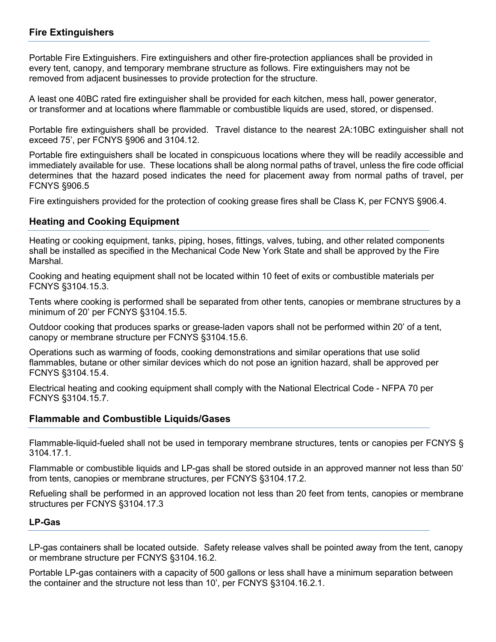# **Fire Extinguishers**

Portable Fire Extinguishers. Fire extinguishers and other fire-protection appliances shall be provided in every tent, canopy, and temporary membrane structure as follows. Fire extinguishers may not be removed from adjacent businesses to provide protection for the structure.

A least one 40BC rated fire extinguisher shall be provided for each kitchen, mess hall, power generator, or transformer and at locations where flammable or combustible liquids are used, stored, or dispensed.

Portable fire extinguishers shall be provided. Travel distance to the nearest 2A:10BC extinguisher shall not exceed 75', per FCNYS §906 and 3104.12.

Portable fire extinguishers shall be located in conspicuous locations where they will be readily accessible and immediately available for use. These locations shall be along normal paths of travel, unless the fire code official determines that the hazard posed indicates the need for placement away from normal paths of travel, per FCNYS §906.5

Fire extinguishers provided for the protection of cooking grease fires shall be Class K, per FCNYS §906.4.

## **Heating and Cooking Equipment**

Heating or cooking equipment, tanks, piping, hoses, fittings, valves, tubing, and other related components shall be installed as specified in the Mechanical Code New York State and shall be approved by the Fire Marshal.

Cooking and heating equipment shall not be located within 10 feet of exits or combustible materials per FCNYS §3104.15.3.

Tents where cooking is performed shall be separated from other tents, canopies or membrane structures by a minimum of 20' per FCNYS §3104.15.5.

Outdoor cooking that produces sparks or grease-laden vapors shall not be performed within 20' of a tent, canopy or membrane structure per FCNYS §3104.15.6.

Operations such as warming of foods, cooking demonstrations and similar operations that use solid flammables, butane or other similar devices which do not pose an ignition hazard, shall be approved per FCNYS §3104.15.4.

Electrical heating and cooking equipment shall comply with the National Electrical Code - NFPA 70 per FCNYS §3104.15.7.

## **Flammable and Combustible Liquids/Gases**

Flammable-liquid-fueled shall not be used in temporary membrane structures, tents or canopies per FCNYS § 3104.17.1.

Flammable or combustible liquids and LP-gas shall be stored outside in an approved manner not less than 50' from tents, canopies or membrane structures, per FCNYS §3104.17.2.

Refueling shall be performed in an approved location not less than 20 feet from tents, canopies or membrane structures per FCNYS §3104.17.3

#### **LP-Gas**

LP-gas containers shall be located outside. Safety release valves shall be pointed away from the tent, canopy or membrane structure per FCNYS §3104.16.2.

Portable LP-gas containers with a capacity of 500 gallons or less shall have a minimum separation between the container and the structure not less than 10', per FCNYS §3104.16.2.1.